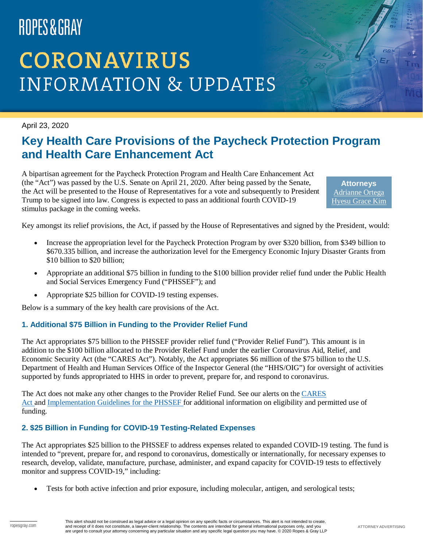# ROPES&GRAY

# **CORONAVIRUS INFORMATION & UPDATES**

April 23, 2020

### **Key Health Care Provisions of the Paycheck Protection Program and Health Care Enhancement Act**

A bipartisan agreement for the Paycheck Protection Program and Health Care Enhancement Act (the "Act") was passed by the U.S. Senate on April 21, 2020. After being passed by the Senate, the Act will be presented to the House of Representatives for a vote and subsequently to President Trump to be signed into law. Congress is expected to pass an additional fourth COVID-19 stimulus package in the coming weeks.

**Attorneys** [Adrianne Ortega](https://www.ropesgray.com/en/biographies/o/adrianne-ortega) [Hyesu Grace Kim](https://www.ropesgray.com/en/biographies/k/hyesu-kim)

Key amongst its relief provisions, the Act, if passed by the House of Representatives and signed by the President, would:

- Increase the appropriation level for the Paycheck Protection Program by over \$320 billion, from \$349 billion to \$670.335 billion, and increase the authorization level for the Emergency Economic Injury Disaster Grants from \$10 billion to \$20 billion;
- Appropriate an additional \$75 billion in funding to the \$100 billion provider relief fund under the Public Health and Social Services Emergency Fund ("PHSSEF"); and
- Appropriate \$25 billion for COVID-19 testing expenses.

Below is a summary of the key health care provisions of the Act.

#### **1. Additional \$75 Billion in Funding to the Provider Relief Fund**

The Act appropriates \$75 billion to the PHSSEF provider relief fund ("Provider Relief Fund"). This amount is in addition to the \$100 billion allocated to the Provider Relief Fund under the earlier Coronavirus Aid, Relief, and Economic Security Act (the "CARES Act"). Notably, the Act appropriates \$6 million of the \$75 billion to the U.S. Department of Health and Human Services Office of the Inspector General (the "HHS/OIG") for oversight of activities supported by funds appropriated to HHS in order to prevent, prepare for, and respond to coronavirus.

The Act does not make any other changes to the Provider Relief Fund. See our alerts on the CARES [Act](https://www.ropesgray.com/en/newsroom/alerts/2020/03/Bipartisan-Proposal-for-Coronavirus-Aid-Relief-and-Economic-Security-Act-CARES-Act-Summary) and [Implementation Guidelines for the PHSSEF](https://www.ropesgray.com/en/newsroom/alerts/2020/04/Public-Health-and-Social-Services-Emergency-Fund-Implementation-Guidelines) for additional information on eligibility and permitted use of funding.

#### **2. \$25 Billion in Funding for COVID-19 Testing-Related Expenses**

The Act appropriates \$25 billion to the PHSSEF to address expenses related to expanded COVID-19 testing. The fund is intended to "prevent, prepare for, and respond to coronavirus, domestically or internationally, for necessary expenses to research, develop, validate, manufacture, purchase, administer, and expand capacity for COVID-19 tests to effectively monitor and suppress COVID-19," including:

• Tests for both active infection and prior exposure, including molecular, antigen, and serological tests;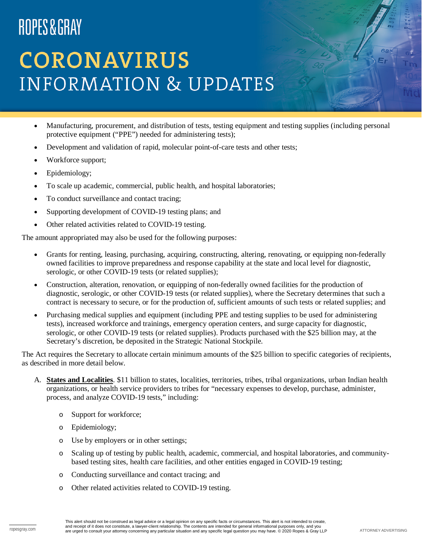# ROPES&GRAY

## **CORONAVIRUS INFORMATION & UPDATES**

- Manufacturing, procurement, and distribution of tests, testing equipment and testing supplies (including personal protective equipment ("PPE") needed for administering tests);
- Development and validation of rapid, molecular point-of-care tests and other tests;
- Workforce support;
- Epidemiology;
- To scale up academic, commercial, public health, and hospital laboratories;
- To conduct surveillance and contact tracing;
- Supporting development of COVID-19 testing plans; and
- Other related activities related to COVID-19 testing.

The amount appropriated may also be used for the following purposes:

- Grants for renting, leasing, purchasing, acquiring, constructing, altering, renovating, or equipping non-federally owned facilities to improve preparedness and response capability at the state and local level for diagnostic, serologic, or other COVID-19 tests (or related supplies);
- Construction, alteration, renovation, or equipping of non-federally owned facilities for the production of diagnostic, serologic, or other COVID-19 tests (or related supplies), where the Secretary determines that such a contract is necessary to secure, or for the production of, sufficient amounts of such tests or related supplies; and
- Purchasing medical supplies and equipment (including PPE and testing supplies to be used for administering tests), increased workforce and trainings, emergency operation centers, and surge capacity for diagnostic, serologic, or other COVID-19 tests (or related supplies). Products purchased with the \$25 billion may, at the Secretary's discretion, be deposited in the Strategic National Stockpile.

The Act requires the Secretary to allocate certain minimum amounts of the \$25 billion to specific categories of recipients, as described in more detail below.

- A. **States and Localities**. \$11 billion to states, localities, territories, tribes, tribal organizations, urban Indian health organizations, or health service providers to tribes for "necessary expenses to develop, purchase, administer, process, and analyze COVID-19 tests," including:
	- o Support for workforce;
	- o Epidemiology;
	- o Use by employers or in other settings;
	- o Scaling up of testing by public health, academic, commercial, and hospital laboratories, and communitybased testing sites, health care facilities, and other entities engaged in COVID-19 testing;
	- o Conducting surveillance and contact tracing; and
	- o Other related activities related to COVID-19 testing.